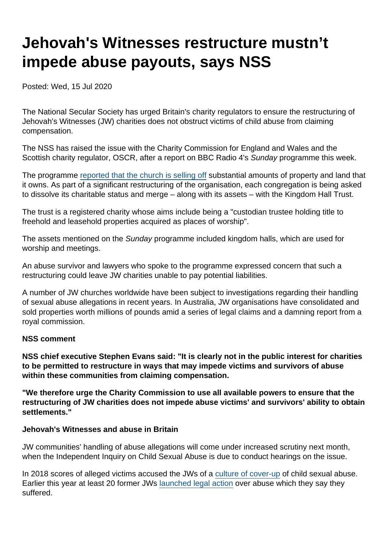# Jehovah's Witnesses restructure mustn't impede abuse payouts, says NSS

Posted: Wed, 15 Jul 2020

The National Secular Society has urged Britain's charity regulators to ensure the restructuring of Jehovah's Witnesses (JW) charities does not obstruct victims of child abuse from claiming compensation.

The NSS has raised the issue with the Charity Commission for England and Wales and the Scottish charity regulator, OSCR, after a report on BBC Radio 4's Sunday programme this week.

The programme [reported that the church is selling off](https://www.bbc.co.uk/sounds/play/m000kww2) substantial amounts of property and land that it owns. As part of a significant restructuring of the organisation, each congregation is being asked to dissolve its charitable status and merge – along with its assets – with the Kingdom Hall Trust.

The trust is a registered charity whose aims include being a "custodian trustee holding title to freehold and leasehold properties acquired as places of worship".

The assets mentioned on the Sunday programme included kingdom halls, which are used for worship and meetings.

An abuse survivor and lawyers who spoke to the programme expressed concern that such a restructuring could leave JW charities unable to pay potential liabilities.

A number of JW churches worldwide have been subject to investigations regarding their handling of sexual abuse allegations in recent years. In Australia, JW organisations have consolidated and sold properties worth millions of pounds amid a series of legal claims and a damning report from a royal commission.

#### NSS comment

NSS chief executive Stephen Evans said: "It is clearly not in the public interest for charities to be permitted to restructure in ways that may impede victims and survivors of abuse within these communities from claiming compensation.

"We therefore urge the Charity Commission to use all available powers to ensure that the restructuring of JW charities does not impede abuse victims' and survivors' ability to obtain settlements."

Jehovah's Witnesses and abuse in Britain

JW communities' handling of abuse allegations will come under increased scrutiny next month, when the Independent Inquiry on Child Sexual Abuse is due to conduct hearings on the issue.

In 2018 scores of alleged victims accused the JWs of a [culture of cover-up](https://www.theguardian.com/world/2018/mar/25/jehovahs-witnesses-accused-of-silencing-victims-of-child-abuse-uk) of child sexual abuse. Earlier this year at least 20 former JWs [launched legal action](https://www.bbc.co.uk/news/uk-51006771) over abuse which they say they suffered.